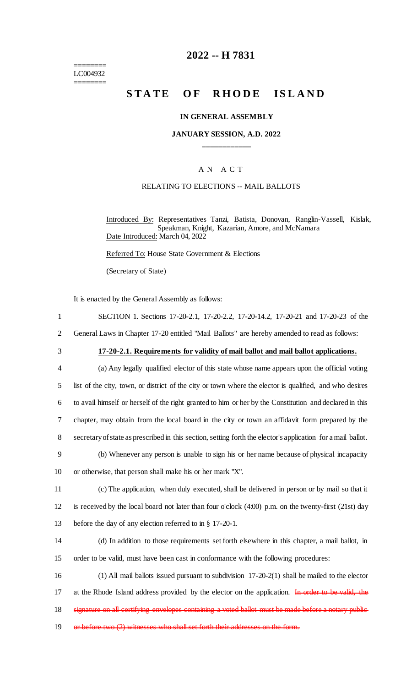======== LC004932 ========

## **2022 -- H 7831**

# **STATE OF RHODE ISLAND**

#### **IN GENERAL ASSEMBLY**

#### **JANUARY SESSION, A.D. 2022 \_\_\_\_\_\_\_\_\_\_\_\_**

#### A N A C T

#### RELATING TO ELECTIONS -- MAIL BALLOTS

Introduced By: Representatives Tanzi, Batista, Donovan, Ranglin-Vassell, Kislak, Speakman, Knight, Kazarian, Amore, and McNamara Date Introduced: March 04, 2022

Referred To: House State Government & Elections

(Secretary of State)

It is enacted by the General Assembly as follows:

| SECTION 1. Sections 17-20-2.1, 17-20-2.2, 17-20-14.2, 17-20-21 and 17-20-23 of the |  |  |  |  |
|------------------------------------------------------------------------------------|--|--|--|--|
|                                                                                    |  |  |  |  |

- 2 General Laws in Chapter 17-20 entitled "Mail Ballots" are hereby amended to read as follows:
- 

#### 3 **17-20-2.1. Requirements for validity of mail ballot and mail ballot applications.**

 (a) Any legally qualified elector of this state whose name appears upon the official voting list of the city, town, or district of the city or town where the elector is qualified, and who desires to avail himself or herself of the right granted to him or her by the Constitution and declared in this chapter, may obtain from the local board in the city or town an affidavit form prepared by the secretary of state as prescribed in this section, setting forth the elector's application for a mail ballot.

9 (b) Whenever any person is unable to sign his or her name because of physical incapacity 10 or otherwise, that person shall make his or her mark "X".

11 (c) The application, when duly executed, shall be delivered in person or by mail so that it 12 is received by the local board not later than four o'clock (4:00) p.m. on the twenty-first (21st) day 13 before the day of any election referred to in § 17-20-1.

14 (d) In addition to those requirements set forth elsewhere in this chapter, a mail ballot, in 15 order to be valid, must have been cast in conformance with the following procedures:

16 (1) All mail ballots issued pursuant to subdivision 17-20-2(1) shall be mailed to the elector 17 at the Rhode Island address provided by the elector on the application. In order to be valid, the 18 signature on all certifying envelopes containing a voted ballot must be made before a notary public-

19 or before two (2) witnesses who shall set forth their addresses on the form.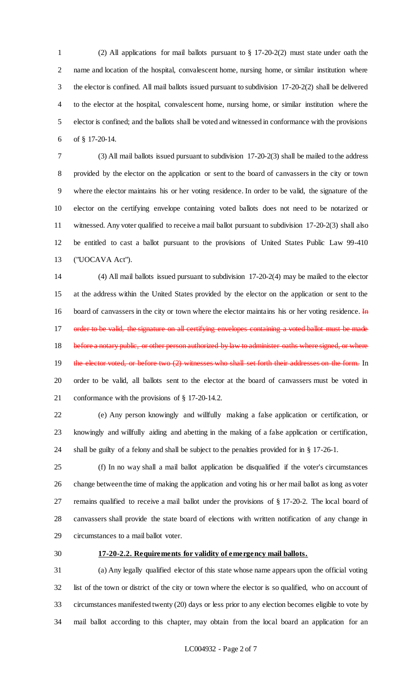(2) All applications for mail ballots pursuant to § 17-20-2(2) must state under oath the name and location of the hospital, convalescent home, nursing home, or similar institution where the elector is confined. All mail ballots issued pursuant to subdivision 17-20-2(2) shall be delivered to the elector at the hospital, convalescent home, nursing home, or similar institution where the elector is confined; and the ballots shall be voted and witnessed in conformance with the provisions of § 17-20-14.

 (3) All mail ballots issued pursuant to subdivision 17-20-2(3) shall be mailed to the address provided by the elector on the application or sent to the board of canvassers in the city or town where the elector maintains his or her voting residence. In order to be valid, the signature of the elector on the certifying envelope containing voted ballots does not need to be notarized or witnessed. Any voter qualified to receive a mail ballot pursuant to subdivision 17-20-2(3) shall also be entitled to cast a ballot pursuant to the provisions of United States Public Law 99-410 ("UOCAVA Act").

 (4) All mail ballots issued pursuant to subdivision 17-20-2(4) may be mailed to the elector at the address within the United States provided by the elector on the application or sent to the 16 board of canvassers in the city or town where the elector maintains his or her voting residence. In 17 order to be valid, the signature on all certifying envelopes containing a voted ballot 18 before a notary public, or other person authorized by law to administer oaths where signed, or where 19 the elector voted, or before two (2) witnesses who shall set forth their addresses on the form. In order to be valid, all ballots sent to the elector at the board of canvassers must be voted in conformance with the provisions of § 17-20-14.2.

 (e) Any person knowingly and willfully making a false application or certification, or knowingly and willfully aiding and abetting in the making of a false application or certification, shall be guilty of a felony and shall be subject to the penalties provided for in § 17-26-1.

 (f) In no way shall a mail ballot application be disqualified if the voter's circumstances change between the time of making the application and voting his or her mail ballot as long as voter remains qualified to receive a mail ballot under the provisions of § 17-20-2. The local board of canvassers shall provide the state board of elections with written notification of any change in circumstances to a mail ballot voter.

#### **17-20-2.2. Requirements for validity of emergency mail ballots.**

 (a) Any legally qualified elector of this state whose name appears upon the official voting list of the town or district of the city or town where the elector is so qualified, who on account of circumstances manifested twenty (20) days or less prior to any election becomes eligible to vote by mail ballot according to this chapter, may obtain from the local board an application for an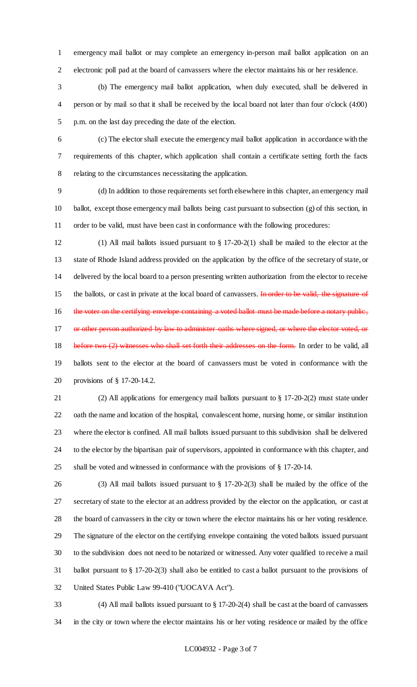emergency mail ballot or may complete an emergency in-person mail ballot application on an electronic poll pad at the board of canvassers where the elector maintains his or her residence.

 (b) The emergency mail ballot application, when duly executed, shall be delivered in person or by mail so that it shall be received by the local board not later than four o'clock (4:00) p.m. on the last day preceding the date of the election.

 (c) The elector shall execute the emergency mail ballot application in accordance with the requirements of this chapter, which application shall contain a certificate setting forth the facts relating to the circumstances necessitating the application.

 (d) In addition to those requirements set forth elsewhere in this chapter, an emergency mail ballot, except those emergency mail ballots being cast pursuant to subsection (g) of this section, in order to be valid, must have been cast in conformance with the following procedures:

 (1) All mail ballots issued pursuant to § 17-20-2(1) shall be mailed to the elector at the state of Rhode Island address provided on the application by the office of the secretary of state, or delivered by the local board to a person presenting written authorization from the elector to receive 15 the ballots, or cast in private at the local board of canvassers. In order to be valid, the signature of 16 the voter on the certifying envelope containing a voted ballot must be made before a notary public, 17 or other person authorized by law to administer oaths where signed, or where the elector voted, or 18 before two (2) witnesses who shall set forth their addresses on the form. In order to be valid, all ballots sent to the elector at the board of canvassers must be voted in conformance with the provisions of § 17-20-14.2.

 (2) All applications for emergency mail ballots pursuant to § 17-20-2(2) must state under oath the name and location of the hospital, convalescent home, nursing home, or similar institution where the elector is confined. All mail ballots issued pursuant to this subdivision shall be delivered to the elector by the bipartisan pair of supervisors, appointed in conformance with this chapter, and shall be voted and witnessed in conformance with the provisions of § 17-20-14.

 (3) All mail ballots issued pursuant to § 17-20-2(3) shall be mailed by the office of the secretary of state to the elector at an address provided by the elector on the application, or cast at the board of canvassers in the city or town where the elector maintains his or her voting residence. The signature of the elector on the certifying envelope containing the voted ballots issued pursuant to the subdivision does not need to be notarized or witnessed. Any voter qualified to receive a mail ballot pursuant to § 17-20-2(3) shall also be entitled to cast a ballot pursuant to the provisions of United States Public Law 99-410 ("UOCAVA Act").

 (4) All mail ballots issued pursuant to § 17-20-2(4) shall be cast at the board of canvassers in the city or town where the elector maintains his or her voting residence or mailed by the office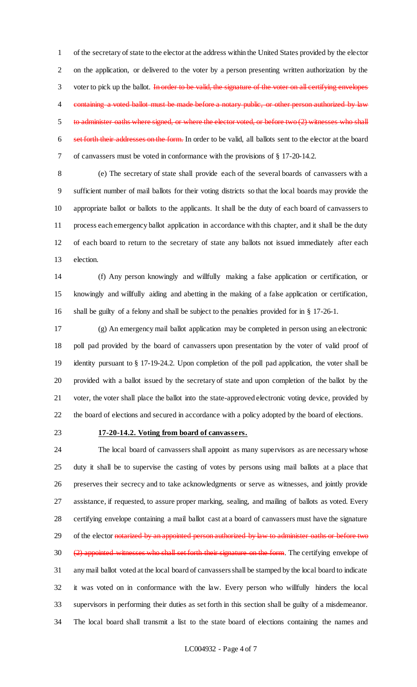of the secretary of state to the elector at the address within the United States provided by the elector on the application, or delivered to the voter by a person presenting written authorization by the 3 voter to pick up the ballot. In order to be valid, the signature of the voter on all certifying envelopes 4 containing a voted ballot must be made before a notary public, or other person authorized by law 5 to administer oaths where signed, or where the elector voted, or before two (2) witnesses who shall 6 set forth their addresses on the form. In order to be valid, all ballots sent to the elector at the board of canvassers must be voted in conformance with the provisions of § 17-20-14.2.

 (e) The secretary of state shall provide each of the several boards of canvassers with a sufficient number of mail ballots for their voting districts so that the local boards may provide the appropriate ballot or ballots to the applicants. It shall be the duty of each board of canvassers to process each emergency ballot application in accordance with this chapter, and it shall be the duty of each board to return to the secretary of state any ballots not issued immediately after each election.

 (f) Any person knowingly and willfully making a false application or certification, or knowingly and willfully aiding and abetting in the making of a false application or certification, shall be guilty of a felony and shall be subject to the penalties provided for in § 17-26-1.

 (g) An emergency mail ballot application may be completed in person using an electronic poll pad provided by the board of canvassers upon presentation by the voter of valid proof of identity pursuant to § 17-19-24.2. Upon completion of the poll pad application, the voter shall be provided with a ballot issued by the secretary of state and upon completion of the ballot by the voter, the voter shall place the ballot into the state-approved electronic voting device, provided by the board of elections and secured in accordance with a policy adopted by the board of elections.

#### **17-20-14.2. Voting from board of canvassers.**

 The local board of canvassers shall appoint as many supervisors as are necessary whose duty it shall be to supervise the casting of votes by persons using mail ballots at a place that preserves their secrecy and to take acknowledgments or serve as witnesses, and jointly provide assistance, if requested, to assure proper marking, sealing, and mailing of ballots as voted. Every certifying envelope containing a mail ballot cast at a board of canvassers must have the signature 29 of the elector notarized by an appointed person authorized by law to administer oaths or before two 30 (2) appointed witnesses who shall set forth their signature on the form. The certifying envelope of any mail ballot voted at the local board of canvassers shall be stamped by the local board to indicate it was voted on in conformance with the law. Every person who willfully hinders the local supervisors in performing their duties as set forth in this section shall be guilty of a misdemeanor. The local board shall transmit a list to the state board of elections containing the names and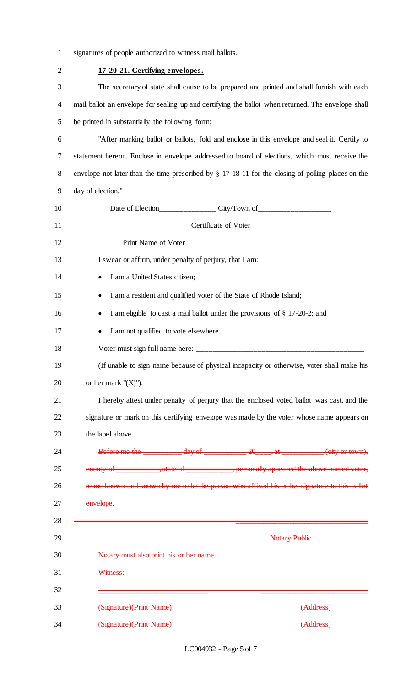|  | signatures of people authorized to witness mail ballots. |  |  |
|--|----------------------------------------------------------|--|--|
|  |                                                          |  |  |

| $\overline{c}$ | 17-20-21. Certifying envelopes.                                                                        |  |  |  |  |  |
|----------------|--------------------------------------------------------------------------------------------------------|--|--|--|--|--|
| 3              | The secretary of state shall cause to be prepared and printed and shall furnish with each              |  |  |  |  |  |
| 4              | mail ballot an envelope for sealing up and certifying the ballot when returned. The envelope shall     |  |  |  |  |  |
| 5              | be printed in substantially the following form:                                                        |  |  |  |  |  |
| 6              | "After marking ballot or ballots, fold and enclose in this envelope and seal it. Certify to            |  |  |  |  |  |
| 7              | statement hereon. Enclose in envelope addressed to board of elections, which must receive the          |  |  |  |  |  |
| 8              | envelope not later than the time prescribed by $\S 17$ -18-11 for the closing of polling places on the |  |  |  |  |  |
| 9              | day of election."                                                                                      |  |  |  |  |  |
| 10             |                                                                                                        |  |  |  |  |  |
| 11             | Certificate of Voter                                                                                   |  |  |  |  |  |
| 12             | Print Name of Voter                                                                                    |  |  |  |  |  |
| 13             | I swear or affirm, under penalty of perjury, that I am:                                                |  |  |  |  |  |
| 14             | I am a United States citizen;<br>٠                                                                     |  |  |  |  |  |
| 15             | I am a resident and qualified voter of the State of Rhode Island;                                      |  |  |  |  |  |
| 16             | I am eligible to cast a mail ballot under the provisions of § 17-20-2; and                             |  |  |  |  |  |
| 17             | I am not qualified to vote elsewhere.                                                                  |  |  |  |  |  |
| 18             |                                                                                                        |  |  |  |  |  |
| 19             | (If unable to sign name because of physical incapacity or otherwise, voter shall make his              |  |  |  |  |  |
| 20             | or her mark " $(X)$ ").                                                                                |  |  |  |  |  |
| 21             | I hereby attest under penalty of perjury that the enclosed voted ballot was cast, and the              |  |  |  |  |  |
| 22             | signature or mark on this certifying envelope was made by the voter whose name appears on              |  |  |  |  |  |
| 23             | the label above.                                                                                       |  |  |  |  |  |
| 24             | Before me the $\frac{day}{}$ day of $\frac{20}{x}$ , at $\frac{1}{x}$ at $\frac{1}{x}$ (city or town), |  |  |  |  |  |
| 25             | county of ______________, state of ______________, personally appeared the above named voter,          |  |  |  |  |  |
| 26             | to me known and known by me to be the person who affixed his or her signature to this ballot           |  |  |  |  |  |
| 27             | envelope.                                                                                              |  |  |  |  |  |
| 28             |                                                                                                        |  |  |  |  |  |
| 29             | <b>Notary Public</b>                                                                                   |  |  |  |  |  |
| 30             | Notary must also print his or her name                                                                 |  |  |  |  |  |
| 31             | Witness:                                                                                               |  |  |  |  |  |
| 32             |                                                                                                        |  |  |  |  |  |
| 33             | (Signature)(Print Name)<br>(Address)                                                                   |  |  |  |  |  |
| 34             | (Signature)(Print Name)<br>(Address)                                                                   |  |  |  |  |  |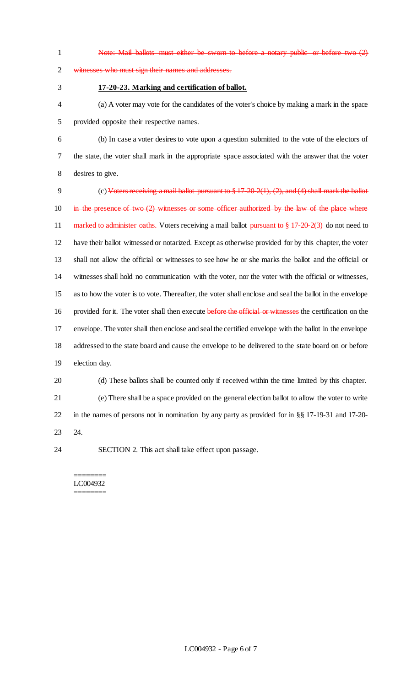Note: Mail ballots must either be sworn to before a notary public or before two (2) witnesses who must sign their names and addresses. **17-20-23. Marking and certification of ballot.** (a) A voter may vote for the candidates of the voter's choice by making a mark in the space provided opposite their respective names. (b) In case a voter desires to vote upon a question submitted to the vote of the electors of the state, the voter shall mark in the appropriate space associated with the answer that the voter desires to give. (c) Voters receiving a mail ballot pursuant to § 17-20-2(1), (2), and (4) shall mark the ballot 10 in the presence of two (2) witnesses or some officer authorized by the law of the place where 11 marked to administer oaths. Voters receiving a mail ballot pursuant to  $\frac{8}{9}$  17-20-2(3) do not need to have their ballot witnessed or notarized. Except as otherwise provided for by this chapter, the voter shall not allow the official or witnesses to see how he or she marks the ballot and the official or witnesses shall hold no communication with the voter, nor the voter with the official or witnesses, as to how the voter is to vote. Thereafter, the voter shall enclose and seal the ballot in the envelope 16 provided for it. The voter shall then execute before the official or witnesses the certification on the envelope. The voter shall then enclose and seal the certified envelope with the ballot in the envelope addressed to the state board and cause the envelope to be delivered to the state board on or before election day. (d) These ballots shall be counted only if received within the time limited by this chapter. (e) There shall be a space provided on the general election ballot to allow the voter to write in the names of persons not in nomination by any party as provided for in §§ 17-19-31 and 17-20-

24.

SECTION 2. This act shall take effect upon passage.

======== LC004932 ========